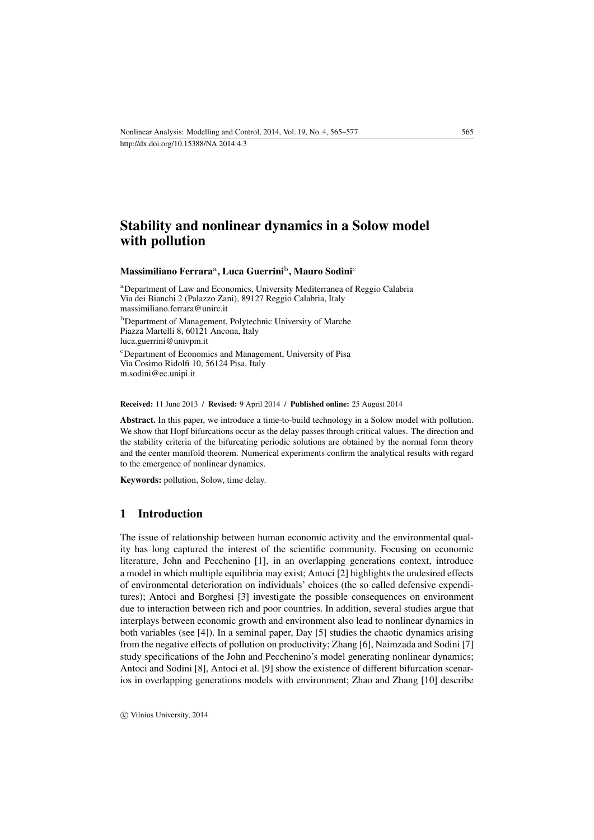# Stability and nonlinear dynamics in a Solow model with pollution

#### Massimiliano Ferraraª, Luca Guerrini<sup>b</sup>, Mauro Sodini<sup>c</sup>

<sup>a</sup>Department of Law and Economics, University Mediterranea of Reggio Calabria Via dei Bianchi 2 (Palazzo Zani), 89127 Reggio Calabria, Italy [massimiliano.ferrara@unirc.it](mailto:massimiliano.ferrara@unirc.it) <sup>b</sup>Department of Management, Polytechnic University of Marche Piazza Martelli 8, 60121 Ancona, Italy [luca.guerrini@univpm.it](mailto:luca.guerrini@univpm.it) <sup>c</sup>Department of Economics and Management, University of Pisa Via Cosimo Ridolfi 10, 56124 Pisa, Italy [m.sodini@ec.unipi.it](mailto:m.sodini@ec.unipi.it)

#### Received: 11 June 2013 / Revised: 9 April 2014 / Published online: 25 August 2014

Abstract. In this paper, we introduce a time-to-build technology in a Solow model with pollution. We show that Hopf bifurcations occur as the delay passes through critical values. The direction and the stability criteria of the bifurcating periodic solutions are obtained by the normal form theory and the center manifold theorem. Numerical experiments confirm the analytical results with regard to the emergence of nonlinear dynamics.

Keywords: pollution, Solow, time delay.

#### 1 Introduction

The issue of relationship between human economic activity and the environmental quality has long captured the interest of the scientific community. Focusing on economic literature, John and Pecchenino [\[1\]](#page-11-0), in an overlapping generations context, introduce a model in which multiple equilibria may exist; Antoci [\[2\]](#page-11-1) highlights the undesired effects of environmental deterioration on individuals' choices (the so called defensive expenditures); Antoci and Borghesi [\[3\]](#page-11-2) investigate the possible consequences on environment due to interaction between rich and poor countries. In addition, several studies argue that interplays between economic growth and environment also lead to nonlinear dynamics in both variables (see [\[4\]](#page-11-3)). In a seminal paper, Day [\[5\]](#page-11-4) studies the chaotic dynamics arising from the negative effects of pollution on productivity; Zhang [\[6\]](#page-11-5), Naimzada and Sodini [\[7\]](#page-11-6) study specifications of the John and Pecchenino's model generating nonlinear dynamics; Antoci and Sodini [\[8\]](#page-12-0), Antoci et al. [\[9\]](#page-12-1) show the existence of different bifurcation scenarios in overlapping generations models with environment; Zhao and Zhang [\[10\]](#page-12-2) describe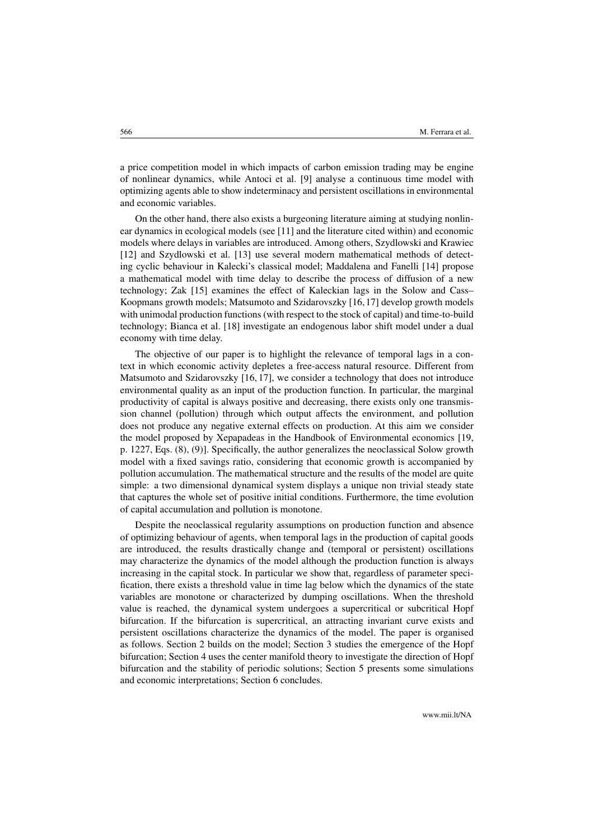a price competition model in which impacts of carbon emission trading may be engine of nonlinear dynamics, while Antoci et al. [\[9\]](#page-12-1) analyse a continuous time model with optimizing agents able to show indeterminacy and persistent oscillations in environmental and economic variables.

On the other hand, there also exists a burgeoning literature aiming at studying nonlinear dynamics in ecological models (see [\[11\]](#page-12-3) and the literature cited within) and economic models where delays in variables are introduced. Among others, Szydlowski and Krawiec [\[12\]](#page-12-4) and Szydlowski et al. [\[13\]](#page-12-5) use several modern mathematical methods of detecting cyclic behaviour in Kalecki's classical model; Maddalena and Fanelli [\[14\]](#page-12-6) propose a mathematical model with time delay to describe the process of diffusion of a new technology; Zak [\[15\]](#page-12-7) examines the effect of Kaleckian lags in the Solow and Cass– Koopmans growth models; Matsumoto and Szidarovszky [\[16,](#page-12-8) [17\]](#page-12-9) develop growth models with unimodal production functions (with respect to the stock of capital) and time-to-build technology; Bianca et al. [\[18\]](#page-12-10) investigate an endogenous labor shift model under a dual economy with time delay.

The objective of our paper is to highlight the relevance of temporal lags in a context in which economic activity depletes a free-access natural resource. Different from Matsumoto and Szidarovszky [\[16,](#page-12-8) [17\]](#page-12-9), we consider a technology that does not introduce environmental quality as an input of the production function. In particular, the marginal productivity of capital is always positive and decreasing, there exists only one transmission channel (pollution) through which output affects the environment, and pollution does not produce any negative external effects on production. At this aim we consider the model proposed by Xepapadeas in the Handbook of Environmental economics [\[19,](#page-12-11) p. 1227, Eqs. (8), (9)]. Specifically, the author generalizes the neoclassical Solow growth model with a fixed savings ratio, considering that economic growth is accompanied by pollution accumulation. The mathematical structure and the results of the model are quite simple: a two dimensional dynamical system displays a unique non trivial steady state that captures the whole set of positive initial conditions. Furthermore, the time evolution of capital accumulation and pollution is monotone.

Despite the neoclassical regularity assumptions on production function and absence of optimizing behaviour of agents, when temporal lags in the production of capital goods are introduced, the results drastically change and (temporal or persistent) oscillations may characterize the dynamics of the model although the production function is always increasing in the capital stock. In particular we show that, regardless of parameter specification, there exists a threshold value in time lag below which the dynamics of the state variables are monotone or characterized by dumping oscillations. When the threshold value is reached, the dynamical system undergoes a supercritical or subcritical Hopf bifurcation. If the bifurcation is supercritical, an attracting invariant curve exists and persistent oscillations characterize the dynamics of the model. The paper is organised as follows. Section [2](#page-2-0) builds on the model; Section [3](#page-2-1) studies the emergence of the Hopf bifurcation; Section [4](#page-4-0) uses the center manifold theory to investigate the direction of Hopf bifurcation and the stability of periodic solutions; Section [5](#page-10-0) presents some simulations and economic interpretations; Section [6](#page-11-7) concludes.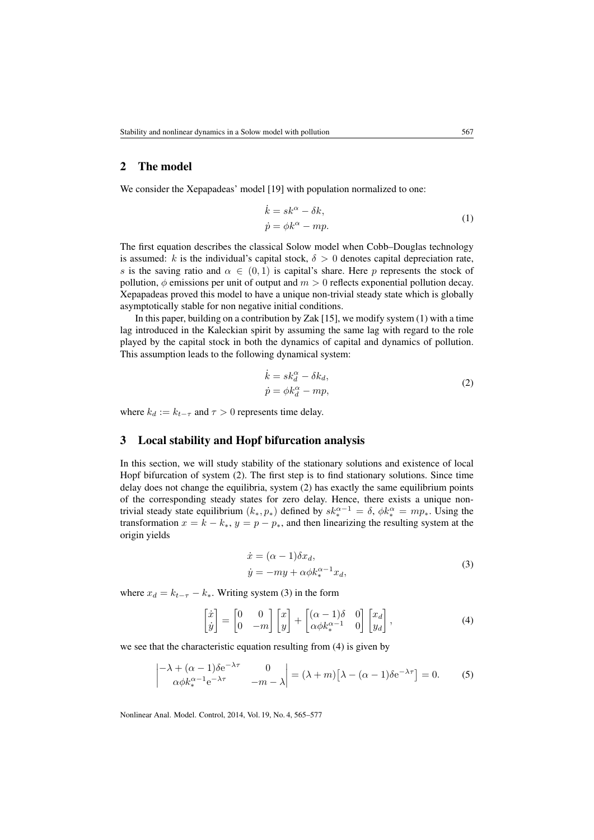# <span id="page-2-0"></span>2 The model

<span id="page-2-2"></span>We consider the Xepapadeas' model [\[19\]](#page-12-11) with population normalized to one:

$$
\begin{aligned}\n\dot{k} &= sk^{\alpha} - \delta k, \\
\dot{p} &= \phi k^{\alpha} - mp.\n\end{aligned} \tag{1}
$$

The first equation describes the classical Solow model when Cobb–Douglas technology is assumed: k is the individual's capital stock,  $\delta > 0$  denotes capital depreciation rate, s is the saving ratio and  $\alpha \in (0,1)$  is capital's share. Here p represents the stock of pollution,  $\phi$  emissions per unit of output and  $m > 0$  reflects exponential pollution decay. Xepapadeas proved this model to have a unique non-trivial steady state which is globally asymptotically stable for non negative initial conditions.

In this paper, building on a contribution by Zak  $[15]$ , we modify system  $(1)$  with a time lag introduced in the Kaleckian spirit by assuming the same lag with regard to the role played by the capital stock in both the dynamics of capital and dynamics of pollution. This assumption leads to the following dynamical system:

$$
\begin{aligned}\n\dot{k} &= sk_d^\alpha - \delta k_d, \\
\dot{p} &= \phi k_d^\alpha - mp,\n\end{aligned}\n\tag{2}
$$

<span id="page-2-3"></span>where  $k_d := k_{t-\tau}$  and  $\tau > 0$  represents time delay.

## <span id="page-2-1"></span>3 Local stability and Hopf bifurcation analysis

In this section, we will study stability of the stationary solutions and existence of local Hopf bifurcation of system [\(2\)](#page-2-3). The first step is to find stationary solutions. Since time delay does not change the equilibria, system [\(2\)](#page-2-3) has exactly the same equilibrium points of the corresponding steady states for zero delay. Hence, there exists a unique nontrivial steady state equilibrium  $(k_*, p_*)$  defined by  $sk_*^{\alpha-1} = \delta$ ,  $\phi k_*^{\alpha} = mp_*$ . Using the transformation  $x = k - k_*$ ,  $y = p - p_*$ , and then linearizing the resulting system at the origin yields

$$
\begin{aligned} \dot{x} &= (\alpha - 1)\delta x_d, \\ \dot{y} &= -my + \alpha \phi k_*^{\alpha - 1} x_d, \end{aligned} \tag{3}
$$

<span id="page-2-4"></span>where  $x_d = k_{t-\tau} - k_*$ . Writing system [\(3\)](#page-2-4) in the form

<span id="page-2-5"></span>
$$
\begin{bmatrix} \dot{x} \\ \dot{y} \end{bmatrix} = \begin{bmatrix} 0 & 0 \\ 0 & -m \end{bmatrix} \begin{bmatrix} x \\ y \end{bmatrix} + \begin{bmatrix} (\alpha - 1)\delta & 0 \\ \alpha \phi k_*^{\alpha - 1} & 0 \end{bmatrix} \begin{bmatrix} x_d \\ y_d \end{bmatrix},
$$
(4)

we see that the characteristic equation resulting from [\(4\)](#page-2-5) is given by

<span id="page-2-6"></span>
$$
\begin{vmatrix} -\lambda + (\alpha - 1)\delta e^{-\lambda \tau} & 0 \\ \alpha \phi k_*^{\alpha - 1} e^{-\lambda \tau} & -m - \lambda \end{vmatrix} = (\lambda + m) [\lambda - (\alpha - 1)\delta e^{-\lambda \tau}] = 0.
$$
 (5)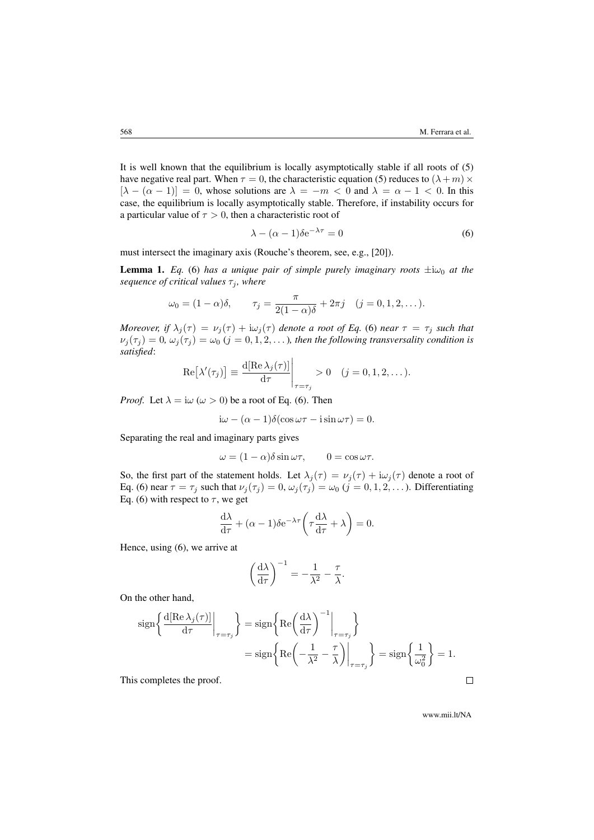It is well known that the equilibrium is locally asymptotically stable if all roots of [\(5\)](#page-2-6) have negative real part. When  $\tau = 0$ , the characteristic equation [\(5\)](#page-2-6) reduces to  $(\lambda + m) \times$  $[\lambda - (\alpha - 1)] = 0$ , whose solutions are  $\lambda = -m < 0$  and  $\lambda = \alpha - 1 < 0$ . In this case, the equilibrium is locally asymptotically stable. Therefore, if instability occurs for a particular value of  $\tau > 0$ , then a characteristic root of

<span id="page-3-0"></span>
$$
\lambda - (\alpha - 1)\delta e^{-\lambda \tau} = 0 \tag{6}
$$

must intersect the imaginary axis (Rouche's theorem, see, e.g., [\[20\]](#page-12-12)).

**Lemma 1.** *Eq.* [\(6\)](#page-3-0) *has a unique pair of simple purely imaginary roots*  $\pm i\omega_0$  *at the sequence of critical values*  $\tau_i$ *, where* 

$$
\omega_0 = (1 - \alpha)\delta, \qquad \tau_j = \frac{\pi}{2(1 - \alpha)\delta} + 2\pi j \quad (j = 0, 1, 2, \dots).
$$

*Moreover, if*  $\lambda_j(\tau) = \nu_j(\tau) + i\omega_j(\tau)$  *denote a root of Eq.* [\(6\)](#page-3-0) *near*  $\tau = \tau_j$  *such that*  $\nu_j(\tau_j) = 0$ ,  $\omega_j(\tau_j) = \omega_0$  ( $j = 0, 1, 2, \ldots$ ), then the following transversality condition is *satisfied*:

$$
\operatorname{Re}[\lambda'(\tau_j)] \equiv \frac{\mathrm{d}[\operatorname{Re}\lambda_j(\tau)]}{\mathrm{d}\tau}\Big|_{\tau=\tau_j} > 0 \quad (j=0,1,2,\dots).
$$

*Proof.* Let  $\lambda = i\omega$  ( $\omega > 0$ ) be a root of Eq. [\(6\)](#page-3-0). Then

$$
i\omega - (\alpha - 1)\delta(\cos \omega \tau - i \sin \omega \tau) = 0.
$$

Separating the real and imaginary parts gives

$$
\omega = (1 - \alpha)\delta \sin \omega \tau, \qquad 0 = \cos \omega \tau.
$$

So, the first part of the statement holds. Let  $\lambda_j(\tau) = \nu_j(\tau) + i\omega_j(\tau)$  denote a root of Eq. [\(6\)](#page-3-0) near  $\tau = \tau_j$  such that  $\nu_j(\tau_j) = 0$ ,  $\omega_j(\tau_j) = \omega_0$   $(j = 0, 1, 2, ...)$ . Differentiating Eq. [\(6\)](#page-3-0) with respect to  $\tau$ , we get

$$
\frac{\mathrm{d}\lambda}{\mathrm{d}\tau} + (\alpha - 1)\delta e^{-\lambda \tau} \left(\tau \frac{\mathrm{d}\lambda}{\mathrm{d}\tau} + \lambda\right) = 0.
$$

Hence, using [\(6\)](#page-3-0), we arrive at

$$
\left(\frac{\mathrm{d}\lambda}{\mathrm{d}\tau}\right)^{-1} = -\frac{1}{\lambda^2} - \frac{\tau}{\lambda}.
$$

On the other hand,

$$
\begin{aligned} \operatorname{sign} \left\{ \left. \frac{\mathrm{d} [\operatorname{Re} \lambda_j(\tau)]}{\mathrm{d} \tau} \right|_{\tau=\tau_j} \right\} &= \operatorname{sign} \left\{ \operatorname{Re} \left( \frac{\mathrm{d} \lambda}{\mathrm{d} \tau} \right)^{-1} \Big|_{\tau=\tau_j} \right\} \\ &= \operatorname{sign} \left\{ \operatorname{Re} \left( -\frac{1}{\lambda^2} - \frac{\tau}{\lambda} \right) \Big|_{\tau=\tau_j} \right\} = \operatorname{sign} \left\{ \frac{1}{\omega_0^2} \right\} = 1. \end{aligned}
$$

This completes the proof.

www.mii.lt/NA

 $\Box$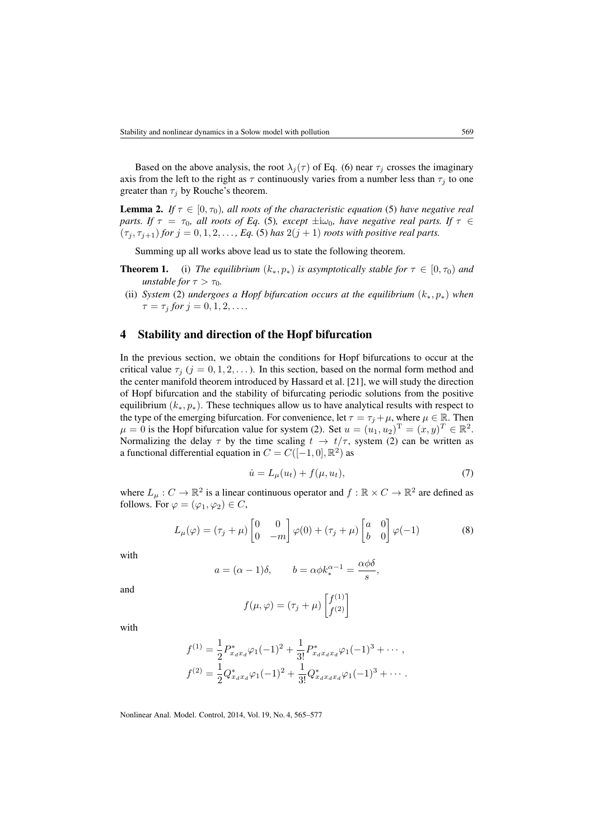Based on the above analysis, the root  $\lambda_j(\tau)$  of Eq. [\(6\)](#page-3-0) near  $\tau_j$  crosses the imaginary axis from the left to the right as  $\tau$  continuously varies from a number less than  $\tau_j$  to one greater than  $\tau_i$  by Rouche's theorem.

**Lemma 2.** *If*  $\tau \in [0, \tau_0)$ *, all roots of the characteristic equation* [\(5\)](#page-2-6) *have negative real parts. If*  $\tau = \tau_0$ *, all roots of Eq.* [\(5\)](#page-2-6)*, except*  $\pm i\omega_0$ *, have negative real parts. If*  $\tau \in$  $(\tau_j, \tau_{j+1})$  *for*  $j = 0, 1, 2, \ldots$ , *Eq.* [\(5\)](#page-2-6) *has*  $2(j + 1)$  *roots with positive real parts.* 

Summing up all works above lead us to state the following theorem.

- **Theorem 1.** (i) *The equilibrium*  $(k_*, p_*)$  *is asymptotically stable for*  $\tau \in [0, \tau_0)$  *and unstable for*  $\tau > \tau_0$ *.*
- (ii) *System* [\(2\)](#page-2-3) *undergoes a Hopf bifurcation occurs at the equilibrium* (k∗, p∗) *when*  $\tau = \tau_j$  *for*  $j = 0, 1, 2, \ldots$

#### <span id="page-4-0"></span>4 Stability and direction of the Hopf bifurcation

In the previous section, we obtain the conditions for Hopf bifurcations to occur at the critical value  $\tau_i$  ( $j = 0, 1, 2, \ldots$ ). In this section, based on the normal form method and the center manifold theorem introduced by Hassard et al. [\[21\]](#page-12-13), we will study the direction of Hopf bifurcation and the stability of bifurcating periodic solutions from the positive equilibrium  $(k_*, p_*)$ . These techniques allow us to have analytical results with respect to the type of the emerging bifurcation. For convenience, let  $\tau = \tau_j + \mu$ , where  $\mu \in \mathbb{R}$ . Then  $\mu = 0$  is the Hopf bifurcation value for system [\(2\)](#page-2-3). Set  $u = (u_1, u_2)^T = (x, y)^T \in \mathbb{R}^2$ . Normalizing the delay  $\tau$  by the time scaling  $t \to t/\tau$ , system [\(2\)](#page-2-3) can be written as a functional differential equation in  $C = C([-1, 0], \mathbb{R}^2)$  as

<span id="page-4-1"></span>
$$
\dot{u} = L_{\mu}(u_t) + f(\mu, u_t),\tag{7}
$$

where  $L_{\mu}: C \to \mathbb{R}^2$  is a linear continuous operator and  $f: \mathbb{R} \times C \to \mathbb{R}^2$  are defined as follows. For  $\varphi = (\varphi_1, \varphi_2) \in C$ ,

<span id="page-4-2"></span>
$$
L_{\mu}(\varphi) = (\tau_j + \mu) \begin{bmatrix} 0 & 0 \\ 0 & -m \end{bmatrix} \varphi(0) + (\tau_j + \mu) \begin{bmatrix} a & 0 \\ b & 0 \end{bmatrix} \varphi(-1)
$$
 (8)

with

$$
a = (\alpha - 1)\delta
$$
,  $b = \alpha \phi k_*^{\alpha - 1} = \frac{\alpha \phi \delta}{s}$ ,

and

$$
f(\mu, \varphi) = (\tau_j + \mu) \begin{bmatrix} f^{(1)} \\ f^{(2)} \end{bmatrix}
$$

with

$$
f^{(1)} = \frac{1}{2} P_{x_d x_d}^* \varphi_1(-1)^2 + \frac{1}{3!} P_{x_d x_d x_d}^* \varphi_1(-1)^3 + \cdots,
$$
  

$$
f^{(2)} = \frac{1}{2} Q_{x_d x_d}^* \varphi_1(-1)^2 + \frac{1}{3!} Q_{x_d x_d x_d}^* \varphi_1(-1)^3 + \cdots.
$$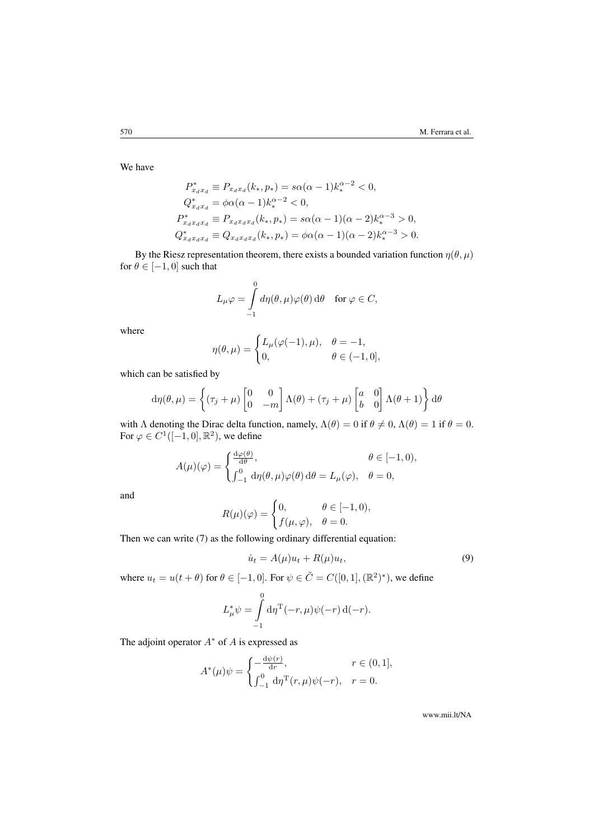We have

$$
P_{x_d x_d}^* \equiv P_{x_d x_d}(k_*, p_*) = s\alpha(\alpha - 1)k_*^{\alpha - 2} < 0,
$$
  
\n
$$
Q_{x_d x_d}^* = \phi\alpha(\alpha - 1)k_*^{\alpha - 2} < 0,
$$
  
\n
$$
P_{x_d x_d x_d}^* \equiv P_{x_d x_d x_d}(k_*, p_*) = s\alpha(\alpha - 1)(\alpha - 2)k_*^{\alpha - 3} > 0,
$$
  
\n
$$
Q_{x_d x_d x_d}^* \equiv Q_{x_d x_d x_d}(k_*, p_*) = \phi\alpha(\alpha - 1)(\alpha - 2)k_*^{\alpha - 3} > 0.
$$

By the Riesz representation theorem, there exists a bounded variation function  $\eta(\theta, \mu)$ for  $\theta \in [-1, 0]$  such that

$$
L_{\mu}\varphi = \int_{-1}^{0} d\eta(\theta,\mu)\varphi(\theta) d\theta \quad \text{for } \varphi \in C,
$$

where

$$
\eta(\theta, \mu) = \begin{cases} L_{\mu}(\varphi(-1), \mu), & \theta = -1, \\ 0, & \theta \in (-1, 0], \end{cases}
$$

which can be satisfied by

$$
d\eta(\theta,\mu) = \left\{ (\tau_j + \mu) \begin{bmatrix} 0 & 0 \\ 0 & -m \end{bmatrix} \Lambda(\theta) + (\tau_j + \mu) \begin{bmatrix} a & 0 \\ b & 0 \end{bmatrix} \Lambda(\theta + 1) \right\} d\theta
$$

with Λ denoting the Dirac delta function, namely,  $\Lambda(\theta) = 0$  if  $\theta \neq 0$ ,  $\Lambda(\theta) = 1$  if  $\theta = 0$ . For  $\varphi \in C^1([-1,0],\mathbb{R}^2)$ , we define

$$
A(\mu)(\varphi) = \begin{cases} \frac{\mathrm{d}\varphi(\theta)}{\mathrm{d}\theta}, & \theta \in [-1,0), \\ \int_{-1}^{0} \mathrm{d}\eta(\theta,\mu)\varphi(\theta) \,\mathrm{d}\theta = L_{\mu}(\varphi), & \theta = 0, \end{cases}
$$

and

$$
R(\mu)(\varphi) = \begin{cases} 0, & \theta \in [-1,0), \\ f(\mu, \varphi), & \theta = 0. \end{cases}
$$

Then we can write [\(7\)](#page-4-1) as the following ordinary differential equation:

<span id="page-5-0"></span>
$$
\dot{u}_t = A(\mu)u_t + R(\mu)u_t,\tag{9}
$$

where  $u_t = u(t + \theta)$  for  $\theta \in [-1, 0]$ . For  $\psi \in \tilde{C} = C([0, 1], (\mathbb{R}^2)^*)$ , we define

$$
L_{\mu}^* \psi = \int_{-1}^0 d\eta^{\mathrm{T}}(-r, \mu) \psi(-r) d(-r).
$$

The adjoint operator  $A^*$  of A is expressed as

$$
A^*(\mu)\psi = \begin{cases} -\frac{d\psi(r)}{dr}, & r \in (0,1],\\ \int_{-1}^0 d\eta^{\mathrm{T}}(r,\mu)\psi(-r), & r = 0. \end{cases}
$$

www.mii.lt/NA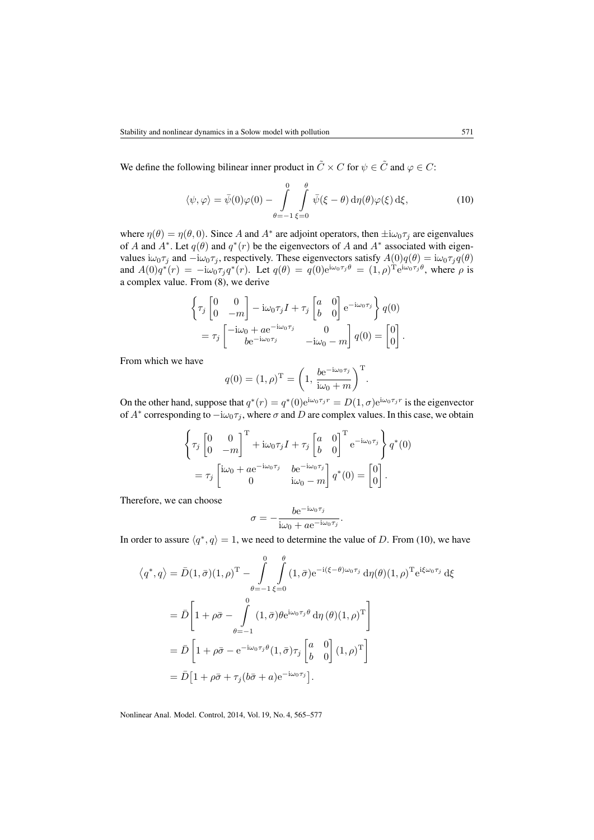We define the following bilinear inner product in  $\tilde{C} \times C$  for  $\psi \in \tilde{C}$  and  $\varphi \in C$ :

<span id="page-6-0"></span>
$$
\langle \psi, \varphi \rangle = \bar{\psi}(0)\varphi(0) - \int_{\theta=-1}^{0} \int_{\xi=0}^{\theta} \bar{\psi}(\xi - \theta) d\eta(\theta)\varphi(\xi) d\xi, \tag{10}
$$

where  $\eta(\theta) = \eta(\theta, 0)$ . Since A and A<sup>\*</sup> are adjoint operators, then  $\pm i\omega_0 \tau_j$  are eigenvalues of A and  $A^*$ . Let  $q(\theta)$  and  $q^*(r)$  be the eigenvectors of A and  $A^*$  associated with eigenvalues  $i\omega_0\tau_j$  and  $-i\omega_0\tau_j$ , respectively. These eigenvectors satisfy  $A(0)q(\theta) = i\omega_0\tau_j q(\theta)$ and  $A(0)q^*(r) = -i\omega_0 \tau_j q^*(r)$ . Let  $q(\theta) = q(0)e^{i\omega_0 \tau_j \theta} = (1, \rho)^{\text{T}} e^{i\omega_0 \tau_j \theta}$ , where  $\rho$  is a complex value. From [\(8\)](#page-4-2), we derive

$$
\begin{aligned}\n\left\{\tau_j \begin{bmatrix} 0 & 0 \\
0 & -m \end{bmatrix} - i\omega_0 \tau_j I + \tau_j \begin{bmatrix} a & 0 \\
b & 0 \end{bmatrix} e^{-i\omega_0 \tau_j} \right\} q(0) \\
= \tau_j \begin{bmatrix} -i\omega_0 + a e^{-i\omega_0 \tau_j} & 0 \\
b e^{-i\omega_0 \tau_j} & -i\omega_0 - m \end{bmatrix} q(0) = \begin{bmatrix} 0 \\
0 \end{bmatrix}.\n\end{aligned}
$$

From which we have

$$
q(0) = (1, \rho)^{\mathrm{T}} = \left(1, \frac{b e^{-i\omega_0 \tau_j}}{i\omega_0 + m}\right)^{\mathrm{T}}.
$$

On the other hand, suppose that  $q^*(r) = q^*(0)e^{i\omega_0 \tau_j r} = D(1, \sigma)e^{i\omega_0 \tau_j r}$  is the eigenvector of  $A^*$  corresponding to  $-i\omega_0\tau_j$ , where  $\sigma$  and  $D$  are complex values. In this case, we obtain

$$
\begin{aligned}\n\left\{\tau_j \begin{bmatrix} 0 & 0 \\ 0 & -m \end{bmatrix}^{\mathrm{T}} + \mathrm{i}\omega_0 \tau_j I + \tau_j \begin{bmatrix} a & 0 \\ b & 0 \end{bmatrix}^{\mathrm{T}} e^{-\mathrm{i}\omega_0 \tau_j}\right\} q^*(0) \\
= \tau_j \begin{bmatrix} \mathrm{i}\omega_0 + a e^{-\mathrm{i}\omega_0 \tau_j} & b e^{-\mathrm{i}\omega_0 \tau_j} \\ 0 & \mathrm{i}\omega_0 - m \end{bmatrix} q^*(0) = \begin{bmatrix} 0 \\ 0 \end{bmatrix}.\n\end{aligned}
$$

Therefore, we can choose

$$
\sigma = -\frac{b e^{-i\omega_0 \tau_j}}{i\omega_0 + a e^{-i\omega_0 \tau_j}}.
$$

In order to assure  $\langle q^*, q \rangle = 1$ , we need to determine the value of D. From [\(10\)](#page-6-0), we have

θ

 $\sim$ 

$$
\langle q^*, q \rangle = \bar{D}(1, \bar{\sigma})(1, \rho)^{\mathrm{T}} - \int_{\theta=-1}^{0} \int_{\xi=0}^{\theta} (1, \bar{\sigma}) e^{-i(\xi-\theta)\omega_0 \tau_j} d\eta(\theta) (1, \rho)^{\mathrm{T}} e^{i\xi\omega_0 \tau_j} d\xi
$$

$$
= \bar{D} \left[ 1 + \rho \bar{\sigma} - \int_{\theta=-1}^{0} (1, \bar{\sigma}) \theta e^{i\omega_0 \tau_j \theta} d\eta(\theta) (1, \rho)^{\mathrm{T}} \right]
$$

$$
= \bar{D} \left[ 1 + \rho \bar{\sigma} - e^{-i\omega_0 \tau_j \theta} (1, \bar{\sigma}) \tau_j \begin{bmatrix} a & 0 \\ b & 0 \end{bmatrix} (1, \rho)^{\mathrm{T}} \right]
$$

$$
= \bar{D} \left[ 1 + \rho \bar{\sigma} + \tau_j (\bar{b}\bar{\sigma} + a) e^{-i\omega_0 \tau_j} \right].
$$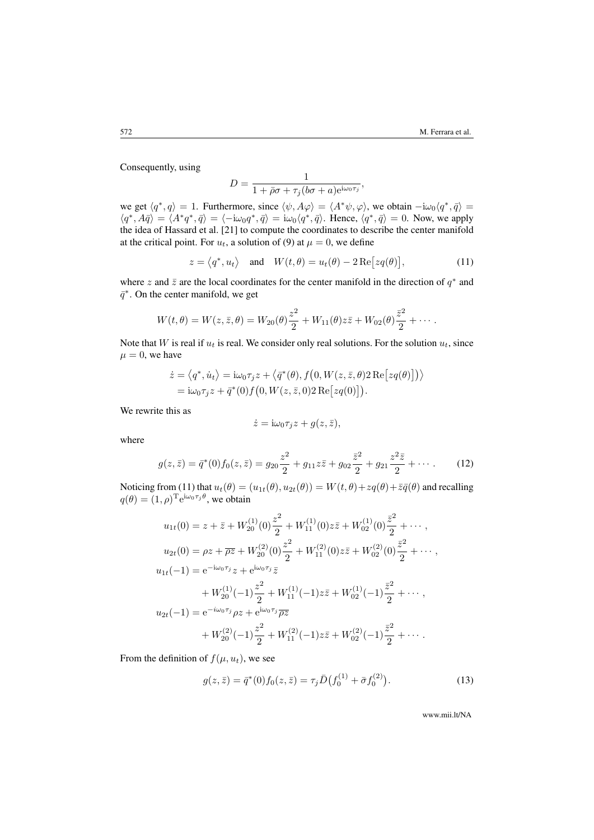Consequently, using

$$
D = \frac{1}{1 + \bar{\rho}\sigma + \tau_j(b\sigma + a)e^{i\omega_0\tau_j}},
$$

we get  $\langle q^*, q \rangle = 1$ . Furthermore, since  $\langle \psi, A\varphi \rangle = \langle A^* \psi, \varphi \rangle$ , we obtain  $-i\omega_0 \langle q^*, \bar{q} \rangle =$  $\langle q^*, A\bar{q} \rangle = \langle A^*q^*, \bar{q} \rangle = \langle -i\omega_0 q^*, \bar{q} \rangle = i\omega_0 \langle q^*, \bar{q} \rangle$ . Hence,  $\langle q^*, \bar{q} \rangle = 0$ . Now, we apply the idea of Hassard et al. [\[21\]](#page-12-13) to compute the coordinates to describe the center manifold at the critical point. For  $u_t$ , a solution of [\(9\)](#page-5-0) at  $\mu = 0$ , we define

<span id="page-7-0"></span>
$$
z = \langle q^*, u_t \rangle \quad \text{and} \quad W(t, \theta) = u_t(\theta) - 2 \operatorname{Re} [z q(\theta)], \tag{11}
$$

where z and  $\bar{z}$  are the local coordinates for the center manifold in the direction of  $q^*$  and  $\bar{q}^*$ . On the center manifold, we get

$$
W(t,\theta) = W(z,\bar{z},\theta) = W_{20}(\theta)\frac{z^2}{2} + W_{11}(\theta)z\bar{z} + W_{02}(\theta)\frac{\bar{z}^2}{2} + \cdots
$$

Note that W is real if  $u_t$  is real. We consider only real solutions. For the solution  $u_t$ , since  $\mu = 0$ , we have

$$
\dot{z} = \langle q^*, \dot{u}_t \rangle = \mathrm{i}\omega_0 \tau_j z + \langle \bar{q}^*(\theta), f(0, W(z, \bar{z}, \theta) 2 \operatorname{Re}[z q(\theta)] \rangle \rangle \n= \mathrm{i}\omega_0 \tau_j z + \bar{q}^*(0) f(0, W(z, \bar{z}, 0) 2 \operatorname{Re}[z q(0)]).
$$

We rewrite this as

$$
\dot{z} = \mathrm{i}\omega_0 \tau_j z + g(z, \bar{z}),
$$

where

<span id="page-7-1"></span>
$$
g(z,\bar{z}) = \bar{q}^*(0)f_0(z,\bar{z}) = g_{20}\frac{z^2}{2} + g_{11}z\bar{z} + g_{02}\frac{\bar{z}^2}{2} + g_{21}\frac{z^2\bar{z}}{2} + \cdots
$$
 (12)

Noticing from [\(11\)](#page-7-0) that  $u_t(\theta) = (u_{1t}(\theta), u_{2t}(\theta)) = W(t, \theta) + zq(\theta) + \overline{z}\overline{q}(\theta)$  and recalling  $q(\theta) = (1, \rho)^{\text{T}} e^{i\omega_0 \tau_j \theta}$ , we obtain

$$
u_{1t}(0) = z + \bar{z} + W_{20}^{(1)}(0)\frac{z^2}{2} + W_{11}^{(1)}(0)z\bar{z} + W_{02}^{(1)}(0)\frac{\bar{z}^2}{2} + \cdots,
$$
  
\n
$$
u_{2t}(0) = \rho z + \overline{\rho z} + W_{20}^{(2)}(0)\frac{z^2}{2} + W_{11}^{(2)}(0)z\bar{z} + W_{02}^{(2)}(0)\frac{\bar{z}^2}{2} + \cdots,
$$
  
\n
$$
u_{1t}(-1) = e^{-i\omega_0 \tau_j}z + e^{i\omega_0 \tau_j}\bar{z} + W_{11}^{(1)}(-1)z\bar{z} + W_{02}^{(1)}(-1)\frac{\bar{z}^2}{2} + \cdots,
$$
  
\n
$$
u_{2t}(-1) = e^{-i\omega_0 \tau_j}\rho z + e^{i\omega_0 \tau_j}\overline{\rho z} + W_{11}^{(2)}(-1)z\bar{z} + W_{02}^{(2)}(-1)\frac{\bar{z}^2}{2} + \cdots.
$$

From the definition of  $f(\mu, u_t)$ , we see

<span id="page-7-2"></span>
$$
g(z,\bar{z}) = \bar{q}^*(0)f_0(z,\bar{z}) = \tau_j \bar{D}(f_0^{(1)} + \bar{\sigma}f_0^{(2)}).
$$
 (13)

www.mii.lt/NA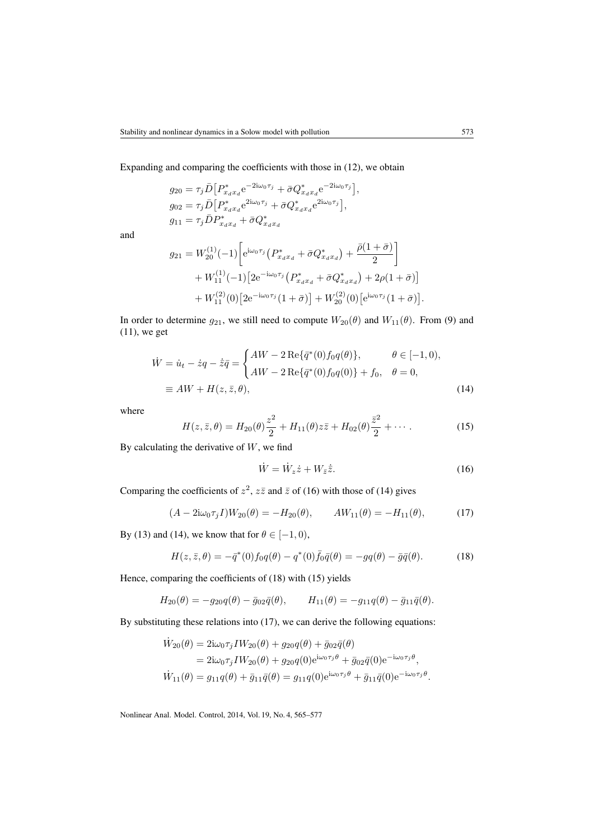Expanding and comparing the coefficients with those in [\(12\)](#page-7-1), we obtain

$$
g_{20} = \tau_j \bar{D} \Big[ P_{x_d x_d}^* e^{-2i\omega_0 \tau_j} + \bar{\sigma} Q_{x_d x_d}^* e^{-2i\omega_0 \tau_j} \Big],
$$
  
\n
$$
g_{02} = \tau_j \bar{D} \Big[ P_{x_d x_d}^* e^{2i\omega_0 \tau_j} + \bar{\sigma} Q_{x_d x_d}^* e^{2i\omega_0 \tau_j} \Big],
$$
  
\n
$$
g_{11} = \tau_j \bar{D} P_{x_d x_d}^* + \bar{\sigma} Q_{x_d x_d}^*
$$

and

$$
g_{21} = W_{20}^{(1)}(-1) \left[ e^{i\omega_0 \tau_j} \left( P_{x_d x_d}^* + \bar{\sigma} Q_{x_d x_d}^* \right) + \frac{\bar{\rho}(1+\bar{\sigma})}{2} \right] + W_{11}^{(1)}(-1) \left[ 2e^{-i\omega_0 \tau_j} \left( P_{x_d x_d}^* + \bar{\sigma} Q_{x_d x_d}^* \right) + 2\rho(1+\bar{\sigma}) \right] + W_{11}^{(2)}(0) \left[ 2e^{-i\omega_0 \tau_j} (1+\bar{\sigma}) \right] + W_{20}^{(2)}(0) \left[ e^{i\omega_0 \tau_j} (1+\bar{\sigma}) \right].
$$

In order to determine  $g_{21}$ , we still need to compute  $W_{20}(\theta)$  and  $W_{11}(\theta)$ . From [\(9\)](#page-5-0) and [\(11\)](#page-7-0), we get

$$
\dot{W} = \dot{u}_t - \dot{z}q - \dot{\bar{z}}\bar{q} = \begin{cases} AW - 2 \operatorname{Re} \{\bar{q}^*(0)f_0 q(\theta)\}, & \theta \in [-1, 0), \\ AW - 2 \operatorname{Re} \{\bar{q}^*(0)f_0 q(0)\} + f_0, & \theta = 0, \end{cases}
$$
\n
$$
\equiv AW + H(z, \bar{z}, \theta), \tag{14}
$$

where

<span id="page-8-3"></span>
$$
H(z, \bar{z}, \theta) = H_{20}(\theta) \frac{z^2}{2} + H_{11}(\theta) z \bar{z} + H_{02}(\theta) \frac{\bar{z}^2}{2} + \cdots
$$
 (15)

By calculating the derivative of  $W$ , we find

<span id="page-8-1"></span><span id="page-8-0"></span>
$$
\dot{W} = \dot{W}_z \dot{z} + W_{\bar{z}} \dot{\bar{z}}.
$$
\n(16)

Comparing the coefficients of  $z^2$ ,  $z\bar{z}$  and  $\bar{z}$  of [\(16\)](#page-8-0) with those of [\(14\)](#page-8-1) gives

<span id="page-8-4"></span>
$$
(A - 2i\omega_0 \tau_j I)W_{20}(\theta) = -H_{20}(\theta), \qquad AW_{11}(\theta) = -H_{11}(\theta), \tag{17}
$$

By [\(13\)](#page-7-2) and [\(14\)](#page-8-1), we know that for  $\theta \in [-1, 0)$ ,

<span id="page-8-2"></span>
$$
H(z, \bar{z}, \theta) = -\bar{q}^*(0) f_0 q(\theta) - q^*(0) \bar{f}_0 \bar{q}(\theta) = -g q(\theta) - \bar{g} \bar{q}(\theta).
$$
 (18)

Hence, comparing the coefficients of [\(18\)](#page-8-2) with [\(15\)](#page-8-3) yields

$$
H_{20}(\theta) = -g_{20}q(\theta) - \bar{g}_{02}\bar{q}(\theta), \qquad H_{11}(\theta) = -g_{11}q(\theta) - \bar{g}_{11}\bar{q}(\theta).
$$

By substituting these relations into [\(17\)](#page-8-4), we can derive the following equations:

$$
\dot{W}_{20}(\theta) = 2i\omega_0 \tau_j I W_{20}(\theta) + g_{20}q(\theta) + \bar{g}_{02}\bar{q}(\theta)
$$
  
=  $2i\omega_0 \tau_j I W_{20}(\theta) + g_{20}q(0)e^{i\omega_0 \tau_j \theta} + \bar{g}_{02}\bar{q}(0)e^{-i\omega_0 \tau_j \theta},$   

$$
\dot{W}_{11}(\theta) = g_{11}q(\theta) + \bar{g}_{11}\bar{q}(\theta) = g_{11}q(0)e^{i\omega_0 \tau_j \theta} + \bar{g}_{11}\bar{q}(0)e^{-i\omega_0 \tau_j \theta}.
$$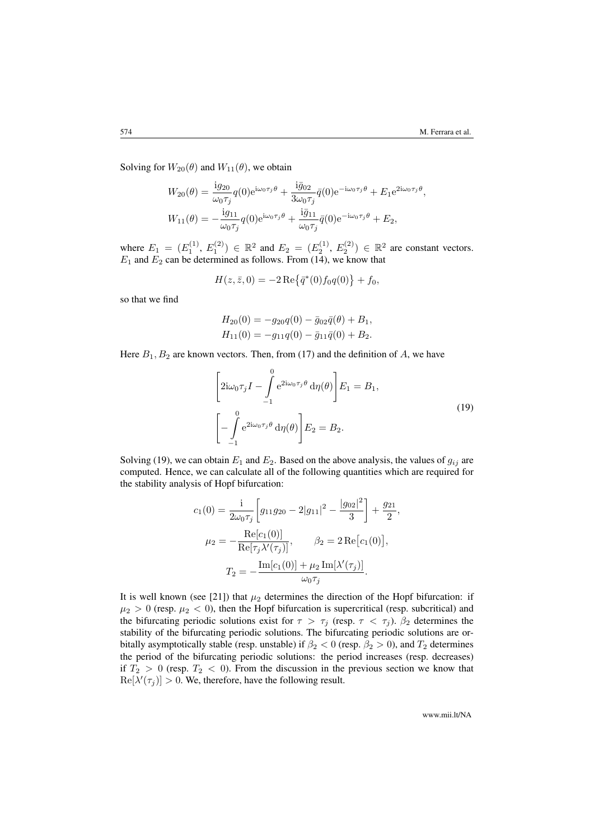Solving for  $W_{20}(\theta)$  and  $W_{11}(\theta)$ , we obtain

$$
W_{20}(\theta) = \frac{\mathrm{i}g_{20}}{\omega_0 \tau_j} q(0) e^{\mathrm{i}\omega_0 \tau_j \theta} + \frac{\mathrm{i}\bar{g}_{02}}{3\omega_0 \tau_j} \bar{q}(0) e^{-\mathrm{i}\omega_0 \tau_j \theta} + E_1 e^{2\mathrm{i}\omega_0 \tau_j \theta},
$$
  

$$
W_{11}(\theta) = -\frac{\mathrm{i}g_{11}}{\omega_0 \tau_j} q(0) e^{\mathrm{i}\omega_0 \tau_j \theta} + \frac{\mathrm{i}\bar{g}_{11}}{\omega_0 \tau_j} \bar{q}(0) e^{-\mathrm{i}\omega_0 \tau_j \theta} + E_2,
$$

where  $E_1 = (E_1^{(1)}, E_1^{(2)}) \in \mathbb{R}^2$  and  $E_2 = (E_2^{(1)}, E_2^{(2)}) \in \mathbb{R}^2$  are constant vectors.  $E_1$  and  $E_2$  can be determined as follows. From [\(14\)](#page-8-1), we know that

$$
H(z, \bar{z}, 0) = -2 \operatorname{Re} \{ \bar{q}^*(0) f_0 q(0) \} + f_0,
$$

so that we find

$$
H_{20}(0) = -g_{20}q(0) - \bar{g}_{02}\bar{q}(\theta) + B_1,
$$
  
\n
$$
H_{11}(0) = -g_{11}q(0) - \bar{g}_{11}\bar{q}(0) + B_2.
$$

<span id="page-9-0"></span>Here  $B_1, B_2$  are known vectors. Then, from [\(17\)](#page-8-4) and the definition of A, we have

$$
\left[2i\omega_0\tau_jI - \int_{-1}^0 e^{2i\omega_0\tau_j\theta} d\eta(\theta)\right]E_1 = B_1,
$$
  

$$
\left[-\int_{-1}^0 e^{2i\omega_0\tau_j\theta} d\eta(\theta)\right]E_2 = B_2.
$$
 (19)

Solving [\(19\)](#page-9-0), we can obtain  $E_1$  and  $E_2$ . Based on the above analysis, the values of  $g_{ij}$  are computed. Hence, we can calculate all of the following quantities which are required for the stability analysis of Hopf bifurcation:

$$
c_1(0) = \frac{1}{2\omega_0 \tau_j} \left[ g_{11}g_{20} - 2|g_{11}|^2 - \frac{|g_{02}|^2}{3} \right] + \frac{g_{21}}{2},
$$
  

$$
\mu_2 = -\frac{\text{Re}[c_1(0)]}{\text{Re}[\tau_j \lambda'(\tau_j)]}, \qquad \beta_2 = 2 \,\text{Re}[c_1(0)],
$$
  

$$
T_2 = -\frac{\text{Im}[c_1(0)] + \mu_2 \,\text{Im}[\lambda'(\tau_j)]}{\omega_0 \tau_j}.
$$

It is well known (see [\[21\]](#page-12-13)) that  $\mu_2$  determines the direction of the Hopf bifurcation: if  $\mu_2 > 0$  (resp.  $\mu_2 < 0$ ), then the Hopf bifurcation is supercritical (resp. subcritical) and the bifurcating periodic solutions exist for  $\tau > \tau_j$  (resp.  $\tau < \tau_j$ ).  $\beta_2$  determines the stability of the bifurcating periodic solutions. The bifurcating periodic solutions are orbitally asymptotically stable (resp. unstable) if  $\beta_2 < 0$  (resp.  $\beta_2 > 0$ ), and  $T_2$  determines the period of the bifurcating periodic solutions: the period increases (resp. decreases) if  $T_2 > 0$  (resp.  $T_2 < 0$ ). From the discussion in the previous section we know that  $\text{Re}[\lambda'(\tau_j)] > 0$ . We, therefore, have the following result.

www.mii.lt/NA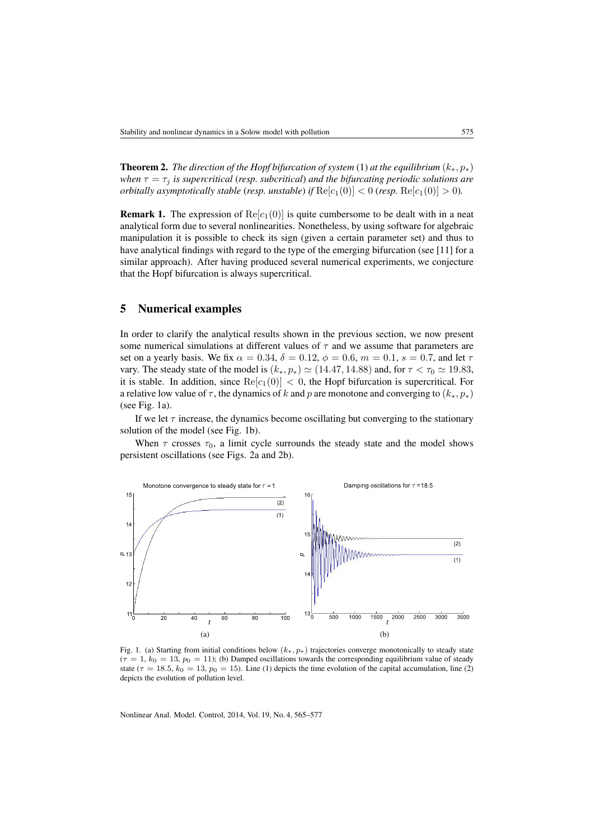**Theorem 2.** *The direction of the Hopf bifurcation of system* [\(1\)](#page-2-2) *at the equilibrium*  $(k_*, p_*)$ *when*  $\tau = \tau_j$  *is supercritical (resp. subcritical) and the bifurcating periodic solutions are orbitally asymptotically stable (resp. unstable) if*  $\text{Re}[c_1(0)] < 0$  (*resp.*  $\text{Re}[c_1(0)] > 0$ *).* 

**Remark 1.** The expression of  $\text{Re}[c_1(0)]$  is quite cumbersome to be dealt with in a neat analytical form due to several nonlinearities. Nonetheless, by using software for algebraic manipulation it is possible to check its sign (given a certain parameter set) and thus to have analytical findings with regard to the type of the emerging bifurcation (see [\[11\]](#page-12-3) for a similar approach). After having produced several numerical experiments, we conjecture that the Hopf bifurcation is always supercritical.

### <span id="page-10-0"></span>5 Numerical examples

In order to clarify the analytical results shown in the previous section, we now present some numerical simulations at different values of  $\tau$  and we assume that parameters are set on a yearly basis. We fix  $\alpha = 0.34$ ,  $\delta = 0.12$ ,  $\phi = 0.6$ ,  $m = 0.1$ ,  $s = 0.7$ , and let  $\tau$ vary. The steady state of the model is  $(k_*, p_*) \simeq (14.47, 14.88)$  and, for  $\tau < \tau_0 \simeq 19.83$ , it is stable. In addition, since  $\text{Re}[c_1(0)] < 0$ , the Hopf bifurcation is supercritical. For a relative low value of  $\tau$ , the dynamics of k and p are monotone and converging to  $(k_*, p_*)$ (see Fig. [1a\)](#page-10-1).

If we let  $\tau$  increase, the dynamics become oscillating but converging to the stationary solution of the model (see Fig. [1b\)](#page-10-1).

When  $\tau$  crosses  $\tau_0$ , a limit cycle surrounds the steady state and the model shows persistent oscillations (see Figs. [2a](#page-11-8) and [2b\)](#page-11-8).

<span id="page-10-1"></span>

Fig. 1. (a) Starting from initial conditions below  $(k_*, p_*)$  trajectories converge monotonically to steady state  $(\tau = 1, k_0 = 13, p_0 = 11)$ ; (b) Damped oscillations towards the corresponding equilibrium value of steady state ( $\tau = 18.5$ ,  $k_0 = 13$ ,  $p_0 = 15$ ). Line (1) depicts the time evolution of the capital accumulation, line (2) depicts the evolution of pollution level.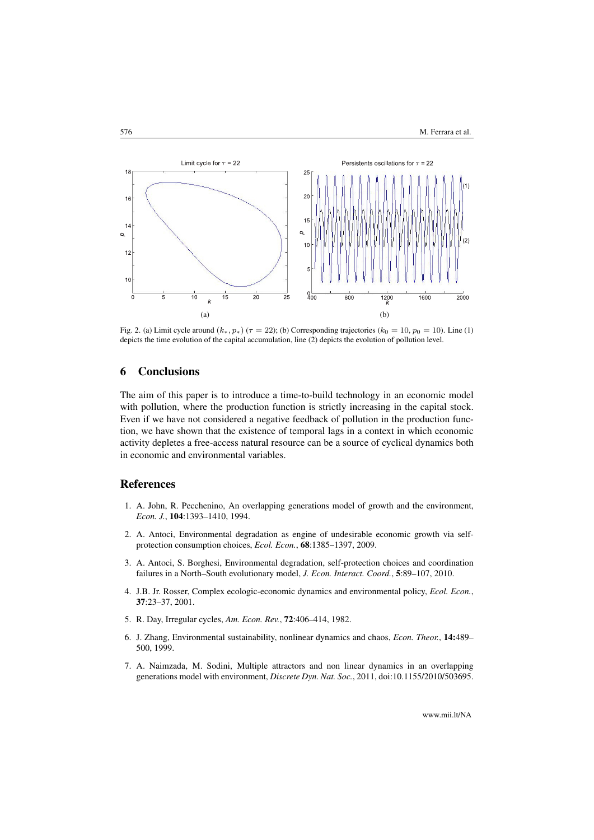<span id="page-11-8"></span>

Fig. 2. (a) Limit cycle around  $(k_*, p_*) (\tau = 22)$ ; (b) Corresponding trajectories  $(k_0 = 10, p_0 = 10)$ . Line (1) depicts the time evolution of the capital accumulation, line (2) depicts the evolution of pollution level.

## <span id="page-11-7"></span>6 Conclusions

The aim of this paper is to introduce a time-to-build technology in an economic model with pollution, where the production function is strictly increasing in the capital stock. Even if we have not considered a negative feedback of pollution in the production function, we have shown that the existence of temporal lags in a context in which economic activity depletes a free-access natural resource can be a source of cyclical dynamics both in economic and environmental variables.

#### References

- <span id="page-11-0"></span>1. A. John, R. Pecchenino, An overlapping generations model of growth and the environment, *Econ. J.*, 104:1393–1410, 1994.
- <span id="page-11-1"></span>2. A. Antoci, Environmental degradation as engine of undesirable economic growth via selfprotection consumption choices, *Ecol. Econ.*, 68:1385–1397, 2009.
- <span id="page-11-2"></span>3. A. Antoci, S. Borghesi, Environmental degradation, self-protection choices and coordination failures in a North–South evolutionary model, *J. Econ. Interact. Coord.*, 5:89–107, 2010.
- <span id="page-11-3"></span>4. J.B. Jr. Rosser, Complex ecologic-economic dynamics and environmental policy, *Ecol. Econ.*, 37:23–37, 2001.
- <span id="page-11-4"></span>5. R. Day, Irregular cycles, *Am. Econ. Rev.*, 72:406–414, 1982.
- <span id="page-11-5"></span>6. J. Zhang, Environmental sustainability, nonlinear dynamics and chaos, *Econ. Theor.*, 14:489– 500, 1999.
- <span id="page-11-6"></span>7. A. Naimzada, M. Sodini, Multiple attractors and non linear dynamics in an overlapping generations model with environment, *Discrete Dyn. Nat. Soc.*, 2011, [doi:10.1155/2010/503695.](http://dx.doi.org/10.1155/2010/503695)